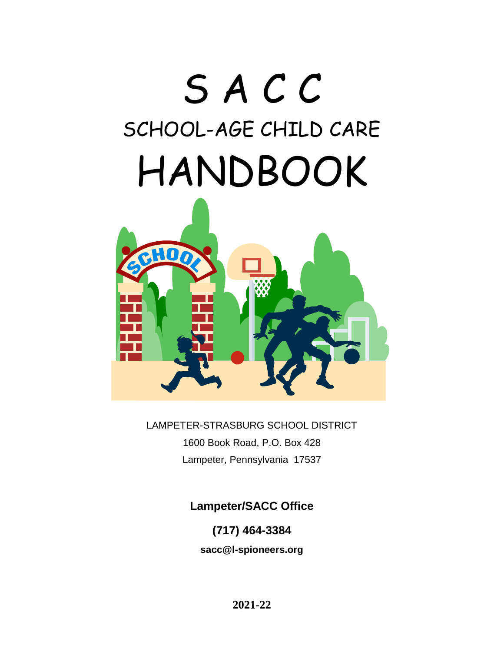# S A C C SCHOOL-AGE CHILD CARE HANDBOOK



LAMPETER-STRASBURG SCHOOL DISTRICT 1600 Book Road, P.O. Box 428 Lampeter, Pennsylvania 17537

**Lampeter/SACC Office**

**(717) 464-3384**

**sacc@l-spioneers.org**

**2021-22**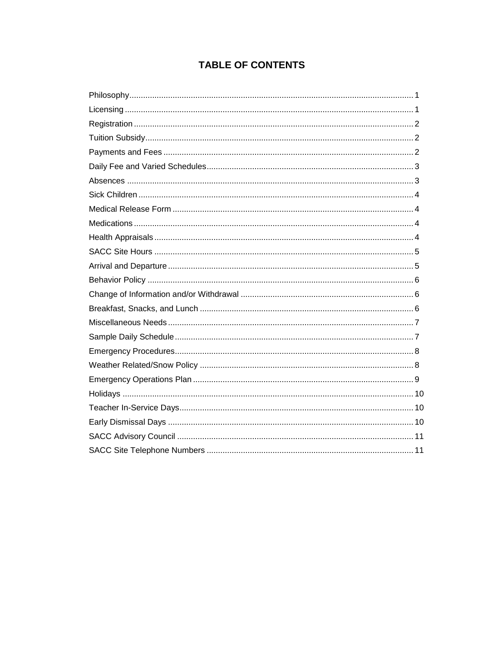### **TABLE OF CONTENTS**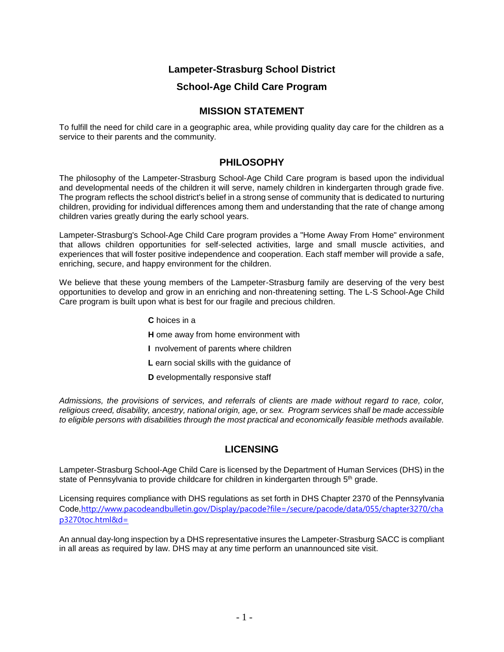#### **Lampeter-Strasburg School District**

#### **School-Age Child Care Program**

#### **MISSION STATEMENT**

To fulfill the need for child care in a geographic area, while providing quality day care for the children as a service to their parents and the community.

#### **PHILOSOPHY**

The philosophy of the Lampeter-Strasburg School-Age Child Care program is based upon the individual and developmental needs of the children it will serve, namely children in kindergarten through grade five. The program reflects the school district's belief in a strong sense of community that is dedicated to nurturing children, providing for individual differences among them and understanding that the rate of change among children varies greatly during the early school years.

Lampeter-Strasburg's School-Age Child Care program provides a "Home Away From Home" environment that allows children opportunities for self-selected activities, large and small muscle activities, and experiences that will foster positive independence and cooperation. Each staff member will provide a safe, enriching, secure, and happy environment for the children.

We believe that these young members of the Lampeter-Strasburg family are deserving of the very best opportunities to develop and grow in an enriching and non-threatening setting. The L-S School-Age Child Care program is built upon what is best for our fragile and precious children.

- **C** hoices in a **H** ome away from home environment with **I** nvolvement of parents where children **L** earn social skills with the guidance of
- **D** evelopmentally responsive staff

*Admissions, the provisions of services, and referrals of clients are made without regard to race, color, religious creed, disability, ancestry, national origin, age, or sex. Program services shall be made accessible to eligible persons with disabilities through the most practical and economically feasible methods available.*

#### **LICENSING**

Lampeter-Strasburg School-Age Child Care is licensed by the Department of Human Services (DHS) in the state of Pennsylvania to provide childcare for children in kindergarten through 5<sup>th</sup> grade.

Licensing requires compliance with DHS regulations as set forth in DHS Chapter 2370 of the Pennsylvania Code,[http://www.pacodeandbulletin.gov/Display/pacode?file=/secure/pacode/data/055/chapter3270/cha](http://www.pacodeandbulletin.gov/Display/pacode?file=/secure/pacode/data/055/chapter3270/chap3270toc.html&d=%E2%80%8B) [p3270toc.html&d=](http://www.pacodeandbulletin.gov/Display/pacode?file=/secure/pacode/data/055/chapter3270/chap3270toc.html&d=%E2%80%8B)

An annual day-long inspection by a DHS representative insures the Lampeter-Strasburg SACC is compliant in all areas as required by law. DHS may at any time perform an unannounced site visit.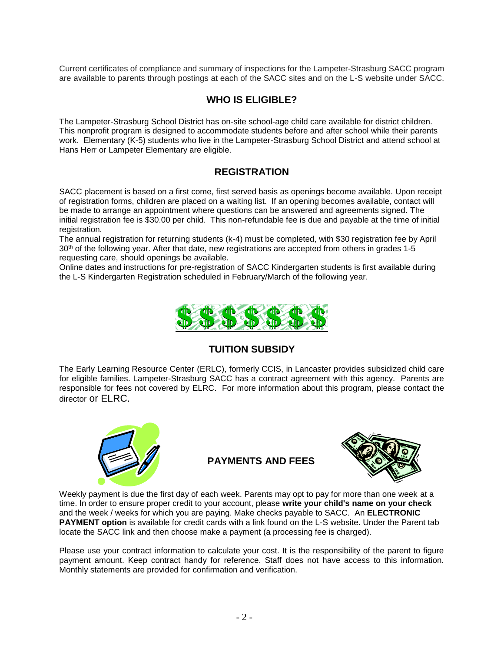Current certificates of compliance and summary of inspections for the Lampeter-Strasburg SACC program are available to parents through postings at each of the SACC sites and on the L-S website under SACC.

#### **WHO IS ELIGIBLE?**

The Lampeter-Strasburg School District has on-site school-age child care available for district children. This nonprofit program is designed to accommodate students before and after school while their parents work. Elementary (K-5) students who live in the Lampeter-Strasburg School District and attend school at Hans Herr or Lampeter Elementary are eligible.

#### **REGISTRATION**

SACC placement is based on a first come, first served basis as openings become available. Upon receipt of registration forms, children are placed on a waiting list. If an opening becomes available, contact will be made to arrange an appointment where questions can be answered and agreements signed. The initial registration fee is \$30.00 per child. This non-refundable fee is due and payable at the time of initial registration.

The annual registration for returning students (k-4) must be completed, with \$30 registration fee by April 30<sup>th</sup> of the following year. After that date, new registrations are accepted from others in grades 1-5 requesting care, should openings be available.

Online dates and instructions for pre-registration of SACC Kindergarten students is first available during the L-S Kindergarten Registration scheduled in February/March of the following year.



#### **TUITION SUBSIDY**

The Early Learning Resource Center (ERLC), formerly CCIS, in Lancaster provides subsidized child care for eligible families. Lampeter-Strasburg SACC has a contract agreement with this agency. Parents are responsible for fees not covered by ELRC. For more information about this program, please contact the director or ELRC.



**PAYMENTS AND FEES**



Weekly payment is due the first day of each week. Parents may opt to pay for more than one week at a time. In order to ensure proper credit to your account, please **write your child's name on your check** and the week / weeks for which you are paying. Make checks payable to SACC. An **ELECTRONIC PAYMENT option** is available for credit cards with a link found on the L-S website. Under the Parent tab locate the SACC link and then choose make a payment (a processing fee is charged).

Please use your contract information to calculate your cost. It is the responsibility of the parent to figure payment amount. Keep contract handy for reference. Staff does not have access to this information. Monthly statements are provided for confirmation and verification.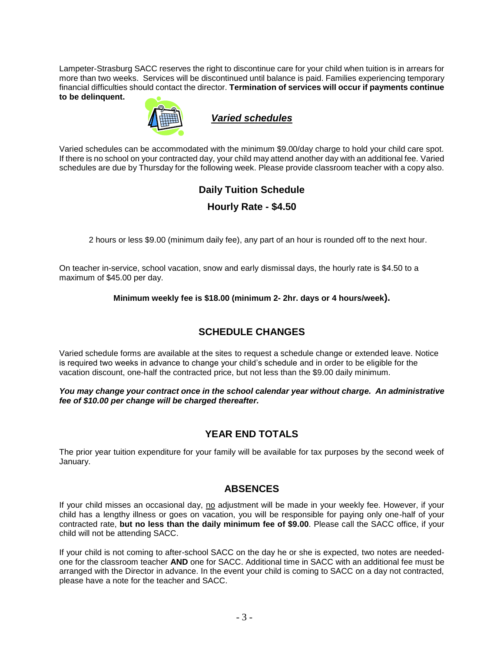Lampeter-Strasburg SACC reserves the right to discontinue care for your child when tuition is in arrears for more than two weeks. Services will be discontinued until balance is paid. Families experiencing temporary financial difficulties should contact the director. **Termination of services will occur if payments continue to be delinquent.**



#### *Varied schedules*

Varied schedules can be accommodated with the minimum \$9.00/day charge to hold your child care spot. If there is no school on your contracted day, your child may attend another day with an additional fee. Varied schedules are due by Thursday for the following week. Please provide classroom teacher with a copy also.

#### **Daily Tuition Schedule**

#### **Hourly Rate - \$4.50**

2 hours or less \$9.00 (minimum daily fee), any part of an hour is rounded off to the next hour.

On teacher in-service, school vacation, snow and early dismissal days, the hourly rate is \$4.50 to a maximum of \$45.00 per day.

**Minimum weekly fee is \$18.00 (minimum 2- 2hr. days or 4 hours/week).**

#### **SCHEDULE CHANGES**

Varied schedule forms are available at the sites to request a schedule change or extended leave. Notice is required two weeks in advance to change your child's schedule and in order to be eligible for the vacation discount, one-half the contracted price, but not less than the \$9.00 daily minimum.

*You may change your contract once in the school calendar year without charge. An administrative fee of \$10.00 per change will be charged thereafter.*

#### **YEAR END TOTALS**

The prior year tuition expenditure for your family will be available for tax purposes by the second week of January.

#### **ABSENCES**

If your child misses an occasional day, no adjustment will be made in your weekly fee. However, if your child has a lengthy illness or goes on vacation, you will be responsible for paying only one-half of your contracted rate, **but no less than the daily minimum fee of \$9.00**. Please call the SACC office, if your child will not be attending SACC.

If your child is not coming to after-school SACC on the day he or she is expected, two notes are neededone for the classroom teacher **AND** one for SACC. Additional time in SACC with an additional fee must be arranged with the Director in advance. In the event your child is coming to SACC on a day not contracted, please have a note for the teacher and SACC.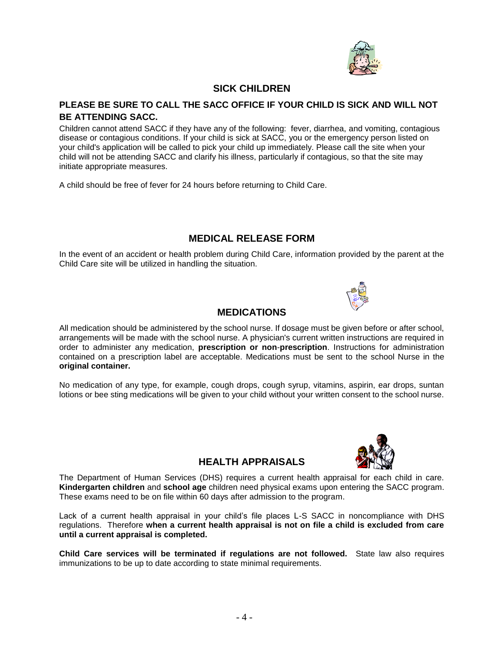

#### **SICK CHILDREN**

#### **PLEASE BE SURE TO CALL THE SACC OFFICE IF YOUR CHILD IS SICK AND WILL NOT BE ATTENDING SACC.**

Children cannot attend SACC if they have any of the following: fever, diarrhea, and vomiting, contagious disease or contagious conditions. If your child is sick at SACC, you or the emergency person listed on your child's application will be called to pick your child up immediately. Please call the site when your child will not be attending SACC and clarify his illness, particularly if contagious, so that the site may initiate appropriate measures.

A child should be free of fever for 24 hours before returning to Child Care.

#### **MEDICAL RELEASE FORM**

In the event of an accident or health problem during Child Care, information provided by the parent at the Child Care site will be utilized in handling the situation.



#### **MEDICATIONS**

All medication should be administered by the school nurse. If dosage must be given before or after school, arrangements will be made with the school nurse. A physician's current written instructions are required in order to administer any medication, **prescription or non**-**prescription**. Instructions for administration contained on a prescription label are acceptable. Medications must be sent to the school Nurse in the **original container.**

No medication of any type, for example, cough drops, cough syrup, vitamins, aspirin, ear drops, suntan lotions or bee sting medications will be given to your child without your written consent to the school nurse.



#### **HEALTH APPRAISALS**

The Department of Human Services (DHS) requires a current health appraisal for each child in care. **Kindergarten children** and **school age** children need physical exams upon entering the SACC program. These exams need to be on file within 60 days after admission to the program.

Lack of a current health appraisal in your child's file places L-S SACC in noncompliance with DHS regulations. Therefore **when a current health appraisal is not on file a child is excluded from care until a current appraisal is completed.**

**Child Care services will be terminated if regulations are not followed.** State law also requires immunizations to be up to date according to state minimal requirements.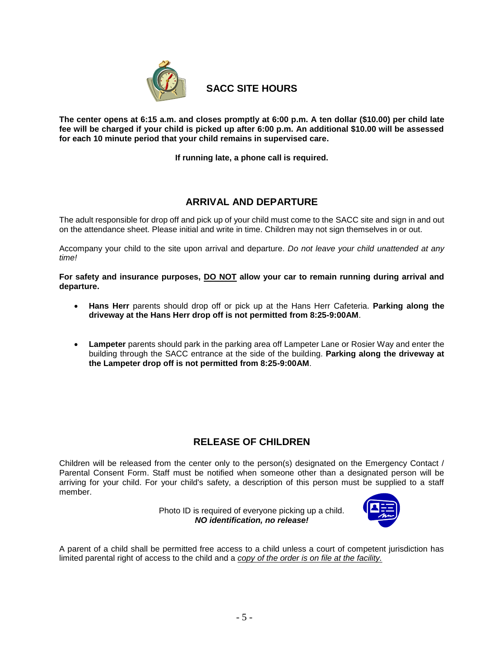

**SACC SITE HOURS**

**The center opens at 6:15 a.m. and closes promptly at 6:00 p.m. A ten dollar (\$10.00) per child late fee will be charged if your child is picked up after 6:00 p.m. An additional \$10.00 will be assessed for each 10 minute period that your child remains in supervised care.**

**If running late, a phone call is required.**

#### **ARRIVAL AND DEPARTURE**

The adult responsible for drop off and pick up of your child must come to the SACC site and sign in and out on the attendance sheet. Please initial and write in time. Children may not sign themselves in or out.

Accompany your child to the site upon arrival and departure. *Do not leave your child unattended at any time!*

**For safety and insurance purposes, DO NOT allow your car to remain running during arrival and departure.**

- **Hans Herr** parents should drop off or pick up at the Hans Herr Cafeteria. **Parking along the driveway at the Hans Herr drop off is not permitted from 8:25-9:00AM**.
- **Lampeter** parents should park in the parking area off Lampeter Lane or Rosier Way and enter the building through the SACC entrance at the side of the building. **Parking along the driveway at the Lampeter drop off is not permitted from 8:25-9:00AM**.

#### **RELEASE OF CHILDREN**

Children will be released from the center only to the person(s) designated on the Emergency Contact / Parental Consent Form. Staff must be notified when someone other than a designated person will be arriving for your child. For your child's safety, a description of this person must be supplied to a staff member.

> Photo ID is required of everyone picking up a child. *NO identification, no release!*



A parent of a child shall be permitted free access to a child unless a court of competent jurisdiction has limited parental right of access to the child and a *copy of the order is on file at the facility.*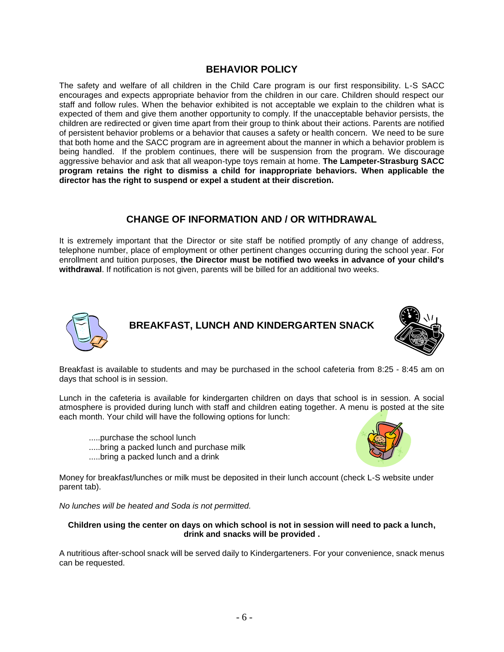#### **BEHAVIOR POLICY**

The safety and welfare of all children in the Child Care program is our first responsibility. L-S SACC encourages and expects appropriate behavior from the children in our care. Children should respect our staff and follow rules. When the behavior exhibited is not acceptable we explain to the children what is expected of them and give them another opportunity to comply. If the unacceptable behavior persists, the children are redirected or given time apart from their group to think about their actions. Parents are notified of persistent behavior problems or a behavior that causes a safety or health concern. We need to be sure that both home and the SACC program are in agreement about the manner in which a behavior problem is being handled. If the problem continues, there will be suspension from the program. We discourage aggressive behavior and ask that all weapon-type toys remain at home. **The Lampeter-Strasburg SACC program retains the right to dismiss a child for inappropriate behaviors. When applicable the director has the right to suspend or expel a student at their discretion.**

#### **CHANGE OF INFORMATION AND / OR WITHDRAWAL**

It is extremely important that the Director or site staff be notified promptly of any change of address, telephone number, place of employment or other pertinent changes occurring during the school year. For enrollment and tuition purposes, **the Director must be notified two weeks in advance of your child's withdrawal**. If notification is not given, parents will be billed for an additional two weeks.



#### **BREAKFAST, LUNCH AND KINDERGARTEN SNACK**



Breakfast is available to students and may be purchased in the school cafeteria from 8:25 - 8:45 am on days that school is in session.

Lunch in the cafeteria is available for kindergarten children on days that school is in session. A social atmosphere is provided during lunch with staff and children eating together. A menu is posted at the site each month. Your child will have the following options for lunch:

- .....purchase the school lunch
- .....bring a packed lunch and purchase milk
- .....bring a packed lunch and a drink



Money for breakfast/lunches or milk must be deposited in their lunch account (check L-S website under parent tab).

*No lunches will be heated and Soda is not permitted.*

#### **Children using the center on days on which school is not in session will need to pack a lunch, drink and snacks will be provided .**

A nutritious after-school snack will be served daily to Kindergarteners. For your convenience, snack menus can be requested.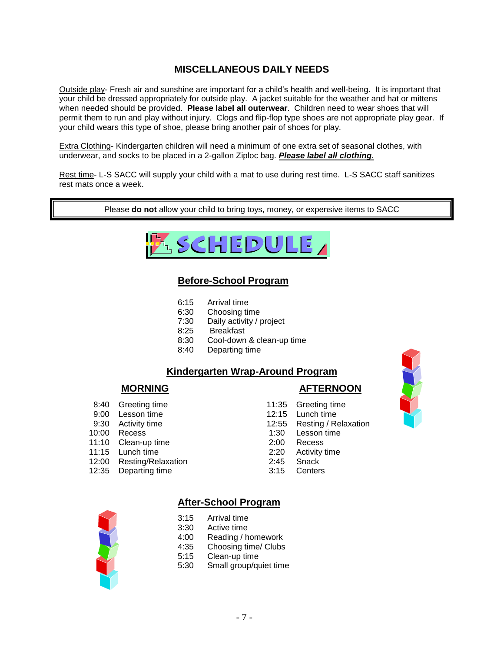#### **MISCELLANEOUS DAILY NEEDS**

Outside play- Fresh air and sunshine are important for a child's health and well-being. It is important that your child be dressed appropriately for outside play. A jacket suitable for the weather and hat or mittens when needed should be provided. **Please label all outerwear**. Children need to wear shoes that will permit them to run and play without injury. Clogs and flip-flop type shoes are not appropriate play gear. If your child wears this type of shoe, please bring another pair of shoes for play.

Extra Clothing- Kindergarten children will need a minimum of one extra set of seasonal clothes, with underwear, and socks to be placed in a 2-gallon Ziploc bag. *Please label all clothing.*

Rest time- L-S SACC will supply your child with a mat to use during rest time. L-S SACC staff sanitizes rest mats once a week.

Please **do not** allow your child to bring toys, money, or expensive items to SACC



#### **Before-School Program**

- 6:15 Arrival time
- 6:30 Choosing time
- 7:30 Daily activity / project
- 8:25 Breakfast
- 8:30 Cool-down & clean-up time
- 8:40 Departing time

#### **Kindergarten Wrap-Around Program**

#### **MORNING AFTERNOON**

- 8:40 Greeting time 11:35 Greeting time 9:00 Lesson time 12:15 Lunch time
- 9:30 Activity time 12:55 Resting / Relaxation
- 10:00 Recess 1:30 Lesson time
- 11:10 Clean-up time 2:00 Recess
- 11:15 Lunch time 2:20 Activity time
- 12:00 Resting/Relaxation 2:45 Snack
- 12:35 Departing time 3:15 Centers



#### **After-School Program**

- 3:15 Arrival time
- 3:30 Active time
- 4:00 Reading / homework
- 4:35 Choosing time/ Clubs
- 5:15 Clean-up time
- 5:30 Small group/quiet time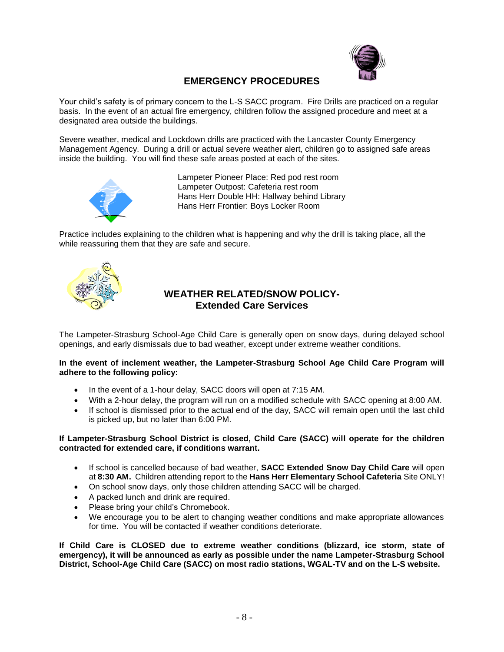

#### **EMERGENCY PROCEDURES**

Your child's safety is of primary concern to the L-S SACC program. Fire Drills are practiced on a regular basis. In the event of an actual fire emergency, children follow the assigned procedure and meet at a designated area outside the buildings.

Severe weather, medical and Lockdown drills are practiced with the Lancaster County Emergency Management Agency. During a drill or actual severe weather alert, children go to assigned safe areas inside the building. You will find these safe areas posted at each of the sites.



Lampeter Pioneer Place: Red pod rest room Lampeter Outpost: Cafeteria rest room Hans Herr Double HH: Hallway behind Library Hans Herr Frontier: Boys Locker Room

Practice includes explaining to the children what is happening and why the drill is taking place, all the while reassuring them that they are safe and secure.



#### **WEATHER RELATED/SNOW POLICY-Extended Care Services**

The Lampeter-Strasburg School-Age Child Care is generally open on snow days, during delayed school openings, and early dismissals due to bad weather, except under extreme weather conditions.

#### **In the event of inclement weather, the Lampeter-Strasburg School Age Child Care Program will adhere to the following policy:**

- In the event of a 1-hour delay, SACC doors will open at 7:15 AM.
- With a 2-hour delay, the program will run on a modified schedule with SACC opening at 8:00 AM.
- If school is dismissed prior to the actual end of the day, SACC will remain open until the last child is picked up, but no later than 6:00 PM.

#### **If Lampeter-Strasburg School District is closed, Child Care (SACC) will operate for the children contracted for extended care, if conditions warrant.**

- If school is cancelled because of bad weather, **SACC Extended Snow Day Child Care** will open at **8:30 AM.** Children attending report to the **Hans Herr Elementary School Cafeteria** Site ONLY!
- On school snow days, only those children attending SACC will be charged.
- A packed lunch and drink are required.
- Please bring your child's Chromebook.
- We encourage you to be alert to changing weather conditions and make appropriate allowances for time. You will be contacted if weather conditions deteriorate.

**If Child Care is CLOSED due to extreme weather conditions (blizzard, ice storm, state of emergency), it will be announced as early as possible under the name Lampeter-Strasburg School District, School-Age Child Care (SACC) on most radio stations, WGAL-TV and on the L-S website.**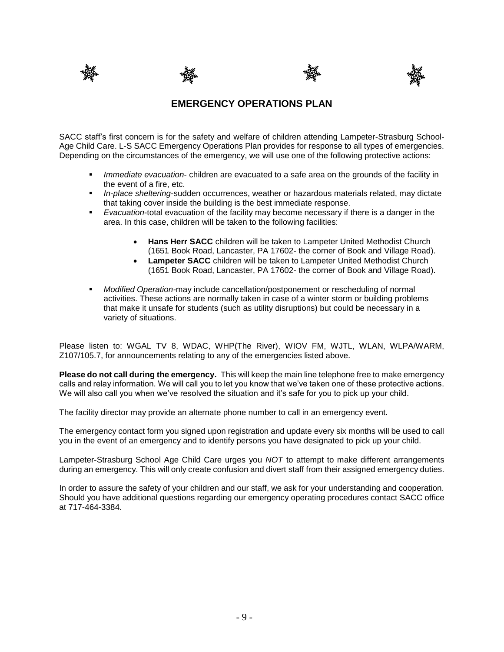







#### **EMERGENCY OPERATIONS PLAN**

SACC staff's first concern is for the safety and welfare of children attending Lampeter-Strasburg School-Age Child Care. L-S SACC Emergency Operations Plan provides for response to all types of emergencies. Depending on the circumstances of the emergency, we will use one of the following protective actions:

- *Immediate evacuation* children are evacuated to a safe area on the grounds of the facility in the event of a fire, etc.
- *In-place sheltering*-sudden occurrences, weather or hazardous materials related, may dictate that taking cover inside the building is the best immediate response.
- **Exacuation-total evacuation of the facility may become necessary if there is a danger in the** area. In this case, children will be taken to the following facilities:
	- **Hans Herr SACC** children will be taken to Lampeter United Methodist Church (1651 Book Road, Lancaster, PA 17602- the corner of Book and Village Road).
	- **Lampeter SACC** children will be taken to Lampeter United Methodist Church (1651 Book Road, Lancaster, PA 17602- the corner of Book and Village Road).
- *Modified Operation-*may include cancellation/postponement or rescheduling of normal activities. These actions are normally taken in case of a winter storm or building problems that make it unsafe for students (such as utility disruptions) but could be necessary in a variety of situations.

Please listen to: WGAL TV 8, WDAC, WHP(The River), WIOV FM, WJTL, WLAN, WLPA/WARM, Z107/105.7, for announcements relating to any of the emergencies listed above.

**Please do not call during the emergency.** This will keep the main line telephone free to make emergency calls and relay information. We will call you to let you know that we've taken one of these protective actions. We will also call you when we've resolved the situation and it's safe for you to pick up your child.

The facility director may provide an alternate phone number to call in an emergency event.

The emergency contact form you signed upon registration and update every six months will be used to call you in the event of an emergency and to identify persons you have designated to pick up your child.

Lampeter-Strasburg School Age Child Care urges you *NOT* to attempt to make different arrangements during an emergency. This will only create confusion and divert staff from their assigned emergency duties.

In order to assure the safety of your children and our staff, we ask for your understanding and cooperation. Should you have additional questions regarding our emergency operating procedures contact SACC office at 717-464-3384.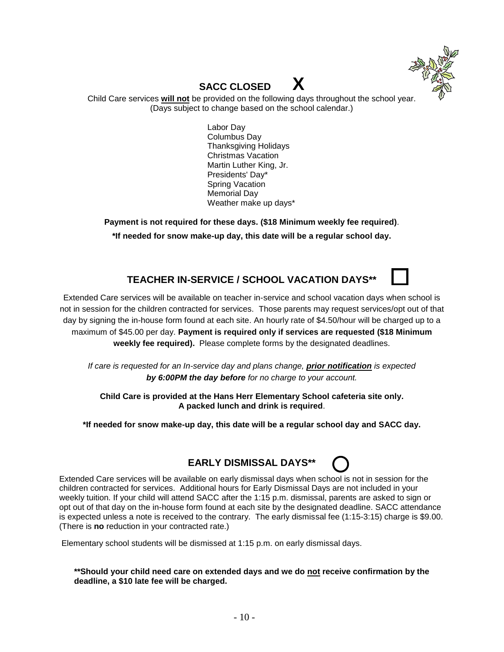

# **SACC CLOSED X**

Child Care services **will not** be provided on the following days throughout the school year. (Days subject to change based on the school calendar.)

> Labor Day Columbus Day Thanksgiving Holidays Christmas Vacation Martin Luther King, Jr. Presidents' Day\* Spring Vacation Memorial Day Weather make up days\*

**Payment is not required for these days. (\$18 Minimum weekly fee required)**. **\*If needed for snow make-up day, this date will be a regular school day.**

### **TEACHER IN-SERVICE / SCHOOL VACATION DAYS\*\***

Extended Care services will be available on teacher in-service and school vacation days when school is not in session for the children contracted for services. Those parents may request services/opt out of that day by signing the in-house form found at each site. An hourly rate of \$4.50/hour will be charged up to a maximum of \$45.00 per day. **Payment is required only if services are requested (\$18 Minimum weekly fee required).** Please complete forms by the designated deadlines.

*If care is requested for an In-service day and plans change, prior notification is expected by 6:00PM the day before for no charge to your account.*

**Child Care is provided at the Hans Herr Elementary School cafeteria site only. A packed lunch and drink is required**.

**\*If needed for snow make-up day, this date will be a regular school day and SACC day.**



Extended Care services will be available on early dismissal days when school is not in session for the children contracted for services. Additional hours for Early Dismissal Days are not included in your weekly tuition. If your child will attend SACC after the 1:15 p.m. dismissal, parents are asked to sign or opt out of that day on the in-house form found at each site by the designated deadline. SACC attendance is expected unless a note is received to the contrary. The early dismissal fee (1:15-3:15) charge is \$9.00. (There is **no** reduction in your contracted rate.)

Elementary school students will be dismissed at 1:15 p.m. on early dismissal days.

**\*\*Should your child need care on extended days and we do not receive confirmation by the deadline, a \$10 late fee will be charged.**